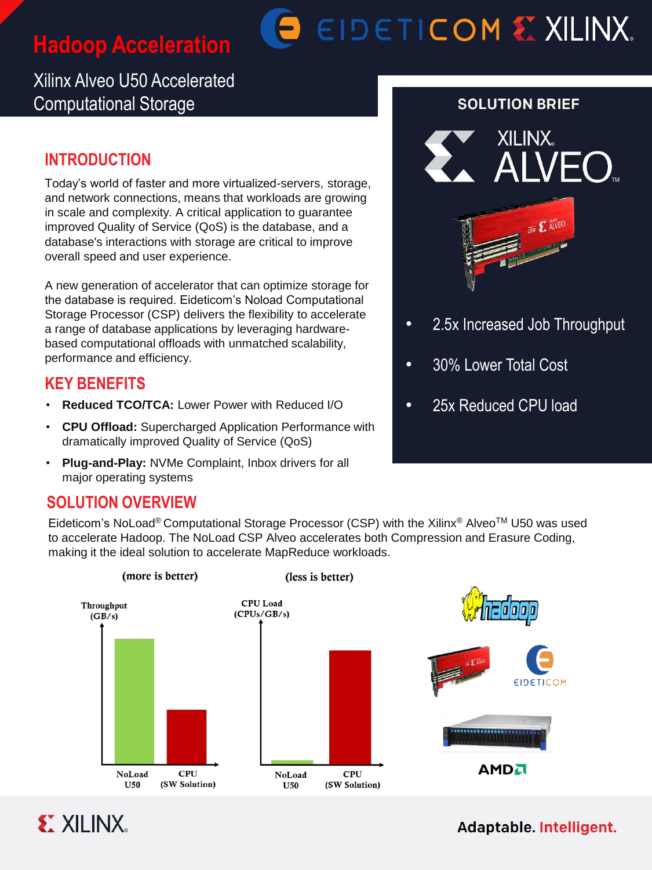# **Hadoop Acceleration**

# **BEIDETICOM & XILINX.**

# Xilinx Alveo U50 Accelerated Computational Storage

# **INTRODUCTION**

Today's world of faster and more virtualized-servers, storage, and network connections, means that workloads are growing in scale and complexity. A critical application to guarantee improved Quality of Service (QoS) is the database, and a database's interactions with storage are critical to improve overall speed and user experience.

A new generation of accelerator that can optimize storage for the database is required. Eideticom's Noload Computational Storage Processor (CSP) delivers the flexibility to accelerate a range of database applications by leveraging hardwarebased computational offloads with unmatched scalability, performance and efficiency.

# **KEY BENEFITS**

- **Reduced TCO/TCA: Lower Power with Reduced I/O**
- **CPU Offload:** Supercharged Application Performance with dramatically improved Quality of Service (QoS)
- **Plug-and-Play:** NVMe Complaint, Inbox drivers for all major operating systems

## **SOLUTION OVERVIEW**

Eideticom's NoLoad® Computational Storage Processor (CSP) with the Xilinx® Alveo™ U50 was used to accelerate Hadoop. The NoLoad CSP Alveo accelerates both Compression and Erasure Coding, making it the ideal solution to accelerate MapReduce workloads.





#### **SOLUTION BRIEF**



- 2.5x Increased Job Throughput
- 30% Lower Total Cost
- 25x Reduced CPU load

### Adaptable. Intelligent.